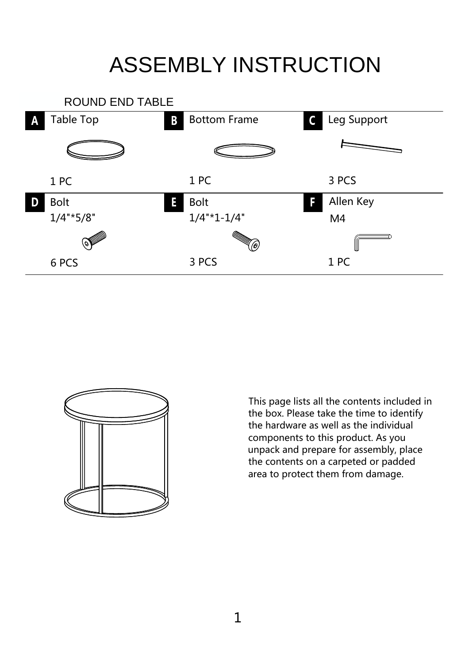## ASSEMBLY INSTRUCTION





This page lists all the contents included in the box. Please take the time to identify the hardware as well as the individual components to this product. As you unpack and prepare for assembly, place the contents on a carpeted or padded area to protect them from damage.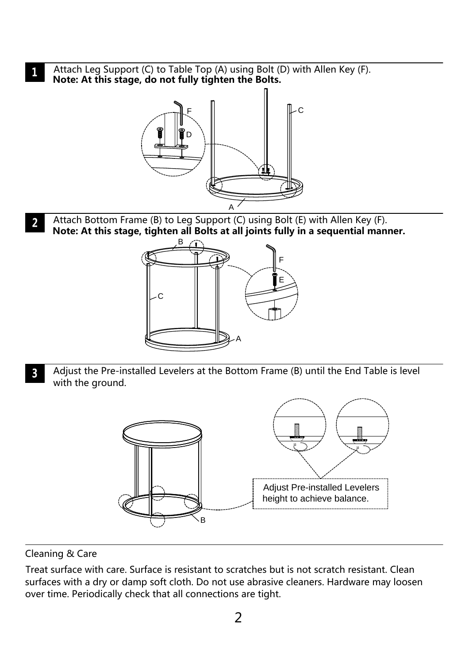Attach Leg Support (C) to Table Top (A) using Bolt (D) with Allen Key (F).  $\mathbf{1}$ **Note: At this stage, do not fully tighten the Bolts.**



Attach Bottom Frame (B) to Leg Support (C) using Bolt (E) with Allen Key (F).  $\overline{2}$ **Note: At this stage, tighten all Bolts at all joints fully in a sequential manner.**



Adjust the Pre-installed Levelers at the Bottom Frame (B) until the End Table is level  $\overline{3}$ with the ground.



Cleaning & Care

Treat surface with care. Surface is resistant to scratches but is not scratch resistant. Clean surfaces with a dry or damp soft cloth. Do not use abrasive cleaners. Hardware may loosen over time. Periodically check that all connections are tight.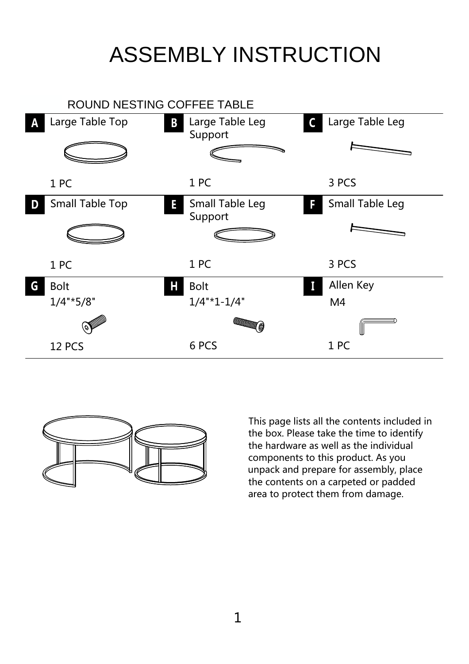## ASSEMBLY INSTRUCTION





This page lists all the contents included in the box. Please take the time to identify the hardware as well as the individual components to this product. As you unpack and prepare for assembly, place the contents on a carpeted or padded area to protect them from damage.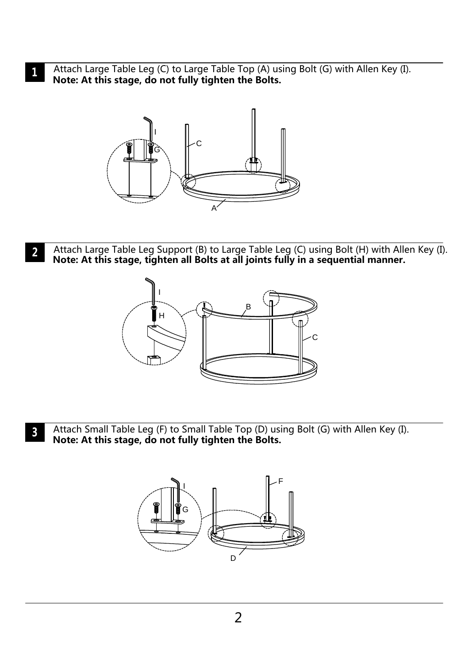Attach Large Table Leg (C) to Large Table Top (A) using Bolt (G) with Allen Key (I).  $\mathbf{1}$ **Note: At this stage, do not fully tighten the Bolts.**



Attach Large Table Leg Support (B) to Large Table Leg (C) using Bolt (H) with Allen Key (I).  $\overline{2}$ **Note: At this stage, tighten all Bolts at all joints fully in a sequential manner.**



Attach Small Table Leg (F) to Small Table Top (D) using Bolt (G) with Allen Key (I).  $\mathbf{3}$ **Note: At this stage, do not fully tighten the Bolts.**